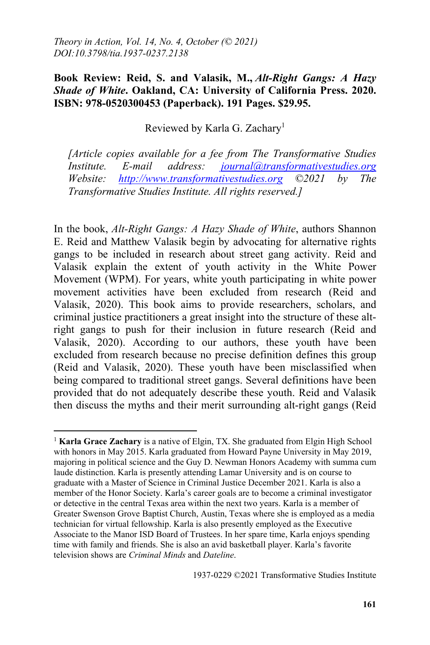## **Book Review: Reid, S. and Valasik, M.,** *Alt-Right Gangs: A Hazy Shade of White***. Oakland, CA: University of California Press. 2020. ISBN: 978-0520300453 (Paperback). 191 Pages. \$29.95.**

Reviewed by Karla G. Zachary<sup>1</sup>

*[Article copies available for a fee from The Transformative Studies Institute. E-mail address: journal@transformativestudies.org Website: http://www.transformativestudies.org ©2021 by The Transformative Studies Institute. All rights reserved.]*

In the book, *Alt-Right Gangs: A Hazy Shade of White*, authors Shannon E. Reid and Matthew Valasik begin by advocating for alternative rights gangs to be included in research about street gang activity. Reid and Valasik explain the extent of youth activity in the White Power Movement (WPM). For years, white youth participating in white power movement activities have been excluded from research (Reid and Valasik, 2020). This book aims to provide researchers, scholars, and criminal justice practitioners a great insight into the structure of these altright gangs to push for their inclusion in future research (Reid and Valasik, 2020). According to our authors, these youth have been excluded from research because no precise definition defines this group (Reid and Valasik, 2020). These youth have been misclassified when being compared to traditional street gangs. Several definitions have been provided that do not adequately describe these youth. Reid and Valasik then discuss the myths and their merit surrounding alt-right gangs (Reid

 $\overline{a}$ <sup>1</sup> **Karla Grace Zachary** is a native of Elgin, TX. She graduated from Elgin High School with honors in May 2015. Karla graduated from Howard Payne University in May 2019, majoring in political science and the Guy D. Newman Honors Academy with summa cum laude distinction. Karla is presently attending Lamar University and is on course to graduate with a Master of Science in Criminal Justice December 2021. Karla is also a member of the Honor Society. Karla's career goals are to become a criminal investigator or detective in the central Texas area within the next two years. Karla is a member of Greater Swenson Grove Baptist Church, Austin, Texas where she is employed as a media technician for virtual fellowship. Karla is also presently employed as the Executive Associate to the Manor ISD Board of Trustees. In her spare time, Karla enjoys spending time with family and friends. She is also an avid basketball player. Karla's favorite television shows are *Criminal Minds* and *Dateline*.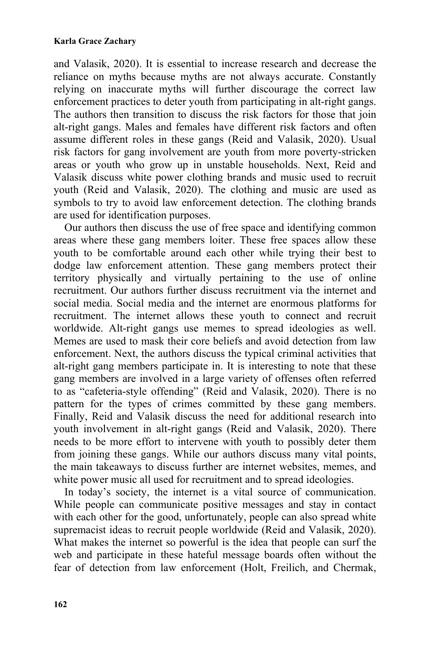## **Karla Grace Zachary**

and Valasik, 2020). It is essential to increase research and decrease the reliance on myths because myths are not always accurate. Constantly relying on inaccurate myths will further discourage the correct law enforcement practices to deter youth from participating in alt-right gangs. The authors then transition to discuss the risk factors for those that join alt-right gangs. Males and females have different risk factors and often assume different roles in these gangs (Reid and Valasik, 2020). Usual risk factors for gang involvement are youth from more poverty-stricken areas or youth who grow up in unstable households. Next, Reid and Valasik discuss white power clothing brands and music used to recruit youth (Reid and Valasik, 2020). The clothing and music are used as symbols to try to avoid law enforcement detection. The clothing brands are used for identification purposes.

Our authors then discuss the use of free space and identifying common areas where these gang members loiter. These free spaces allow these youth to be comfortable around each other while trying their best to dodge law enforcement attention. These gang members protect their territory physically and virtually pertaining to the use of online recruitment. Our authors further discuss recruitment via the internet and social media. Social media and the internet are enormous platforms for recruitment. The internet allows these youth to connect and recruit worldwide. Alt-right gangs use memes to spread ideologies as well. Memes are used to mask their core beliefs and avoid detection from law enforcement. Next, the authors discuss the typical criminal activities that alt-right gang members participate in. It is interesting to note that these gang members are involved in a large variety of offenses often referred to as "cafeteria-style offending" (Reid and Valasik, 2020). There is no pattern for the types of crimes committed by these gang members. Finally, Reid and Valasik discuss the need for additional research into youth involvement in alt-right gangs (Reid and Valasik, 2020). There needs to be more effort to intervene with youth to possibly deter them from joining these gangs. While our authors discuss many vital points, the main takeaways to discuss further are internet websites, memes, and white power music all used for recruitment and to spread ideologies.

In today's society, the internet is a vital source of communication. While people can communicate positive messages and stay in contact with each other for the good, unfortunately, people can also spread white supremacist ideas to recruit people worldwide (Reid and Valasik, 2020). What makes the internet so powerful is the idea that people can surf the web and participate in these hateful message boards often without the fear of detection from law enforcement (Holt, Freilich, and Chermak,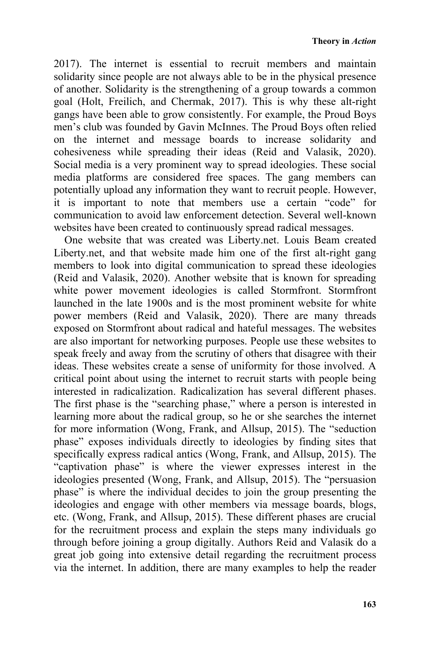2017). The internet is essential to recruit members and maintain solidarity since people are not always able to be in the physical presence of another. Solidarity is the strengthening of a group towards a common goal (Holt, Freilich, and Chermak, 2017). This is why these alt-right gangs have been able to grow consistently. For example, the Proud Boys men's club was founded by Gavin McInnes. The Proud Boys often relied on the internet and message boards to increase solidarity and cohesiveness while spreading their ideas (Reid and Valasik, 2020). Social media is a very prominent way to spread ideologies. These social media platforms are considered free spaces. The gang members can potentially upload any information they want to recruit people. However, it is important to note that members use a certain "code" for communication to avoid law enforcement detection. Several well-known websites have been created to continuously spread radical messages.

One website that was created was Liberty.net. Louis Beam created Liberty.net, and that website made him one of the first alt-right gang members to look into digital communication to spread these ideologies (Reid and Valasik, 2020). Another website that is known for spreading white power movement ideologies is called Stormfront. Stormfront launched in the late 1900s and is the most prominent website for white power members (Reid and Valasik, 2020). There are many threads exposed on Stormfront about radical and hateful messages. The websites are also important for networking purposes. People use these websites to speak freely and away from the scrutiny of others that disagree with their ideas. These websites create a sense of uniformity for those involved. A critical point about using the internet to recruit starts with people being interested in radicalization. Radicalization has several different phases. The first phase is the "searching phase," where a person is interested in learning more about the radical group, so he or she searches the internet for more information (Wong, Frank, and Allsup, 2015). The "seduction phase" exposes individuals directly to ideologies by finding sites that specifically express radical antics (Wong, Frank, and Allsup, 2015). The "captivation phase" is where the viewer expresses interest in the ideologies presented (Wong, Frank, and Allsup, 2015). The "persuasion phase" is where the individual decides to join the group presenting the ideologies and engage with other members via message boards, blogs, etc. (Wong, Frank, and Allsup, 2015). These different phases are crucial for the recruitment process and explain the steps many individuals go through before joining a group digitally. Authors Reid and Valasik do a great job going into extensive detail regarding the recruitment process via the internet. In addition, there are many examples to help the reader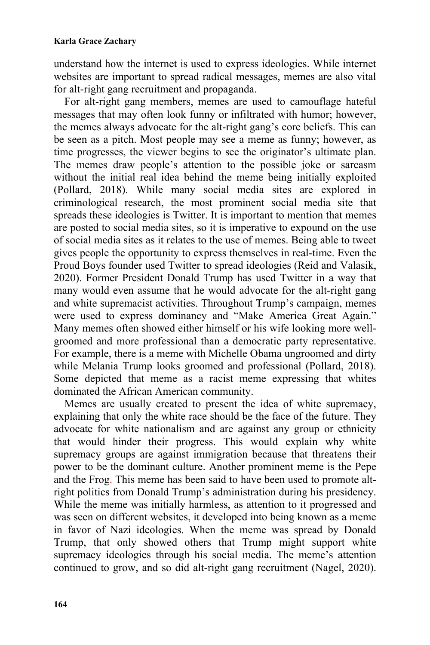understand how the internet is used to express ideologies. While internet websites are important to spread radical messages, memes are also vital for alt-right gang recruitment and propaganda.

For alt-right gang members, memes are used to camouflage hateful messages that may often look funny or infiltrated with humor; however, the memes always advocate for the alt-right gang's core beliefs. This can be seen as a pitch. Most people may see a meme as funny; however, as time progresses, the viewer begins to see the originator's ultimate plan. The memes draw people's attention to the possible joke or sarcasm without the initial real idea behind the meme being initially exploited (Pollard, 2018). While many social media sites are explored in criminological research, the most prominent social media site that spreads these ideologies is Twitter. It is important to mention that memes are posted to social media sites, so it is imperative to expound on the use of social media sites as it relates to the use of memes. Being able to tweet gives people the opportunity to express themselves in real-time. Even the Proud Boys founder used Twitter to spread ideologies (Reid and Valasik, 2020). Former President Donald Trump has used Twitter in a way that many would even assume that he would advocate for the alt-right gang and white supremacist activities. Throughout Trump's campaign, memes were used to express dominancy and "Make America Great Again." Many memes often showed either himself or his wife looking more wellgroomed and more professional than a democratic party representative. For example, there is a meme with Michelle Obama ungroomed and dirty while Melania Trump looks groomed and professional (Pollard, 2018). Some depicted that meme as a racist meme expressing that whites dominated the African American community.

Memes are usually created to present the idea of white supremacy, explaining that only the white race should be the face of the future. They advocate for white nationalism and are against any group or ethnicity that would hinder their progress. This would explain why white supremacy groups are against immigration because that threatens their power to be the dominant culture. Another prominent meme is the Pepe and the Frog. This meme has been said to have been used to promote altright politics from Donald Trump's administration during his presidency. While the meme was initially harmless, as attention to it progressed and was seen on different websites, it developed into being known as a meme in favor of Nazi ideologies. When the meme was spread by Donald Trump, that only showed others that Trump might support white supremacy ideologies through his social media. The meme's attention continued to grow, and so did alt-right gang recruitment (Nagel, 2020).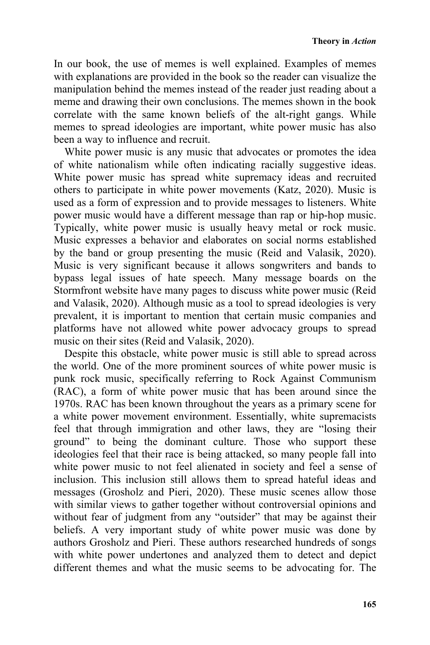In our book, the use of memes is well explained. Examples of memes with explanations are provided in the book so the reader can visualize the manipulation behind the memes instead of the reader just reading about a meme and drawing their own conclusions. The memes shown in the book correlate with the same known beliefs of the alt-right gangs. While memes to spread ideologies are important, white power music has also been a way to influence and recruit.

White power music is any music that advocates or promotes the idea of white nationalism while often indicating racially suggestive ideas. White power music has spread white supremacy ideas and recruited others to participate in white power movements (Katz, 2020). Music is used as a form of expression and to provide messages to listeners. White power music would have a different message than rap or hip-hop music. Typically, white power music is usually heavy metal or rock music. Music expresses a behavior and elaborates on social norms established by the band or group presenting the music (Reid and Valasik, 2020). Music is very significant because it allows songwriters and bands to bypass legal issues of hate speech. Many message boards on the Stormfront website have many pages to discuss white power music (Reid and Valasik, 2020). Although music as a tool to spread ideologies is very prevalent, it is important to mention that certain music companies and platforms have not allowed white power advocacy groups to spread music on their sites (Reid and Valasik, 2020).

Despite this obstacle, white power music is still able to spread across the world. One of the more prominent sources of white power music is punk rock music, specifically referring to Rock Against Communism (RAC), a form of white power music that has been around since the 1970s. RAC has been known throughout the years as a primary scene for a white power movement environment. Essentially, white supremacists feel that through immigration and other laws, they are "losing their ground" to being the dominant culture. Those who support these ideologies feel that their race is being attacked, so many people fall into white power music to not feel alienated in society and feel a sense of inclusion. This inclusion still allows them to spread hateful ideas and messages (Grosholz and Pieri, 2020). These music scenes allow those with similar views to gather together without controversial opinions and without fear of judgment from any "outsider" that may be against their beliefs. A very important study of white power music was done by authors Grosholz and Pieri. These authors researched hundreds of songs with white power undertones and analyzed them to detect and depict different themes and what the music seems to be advocating for. The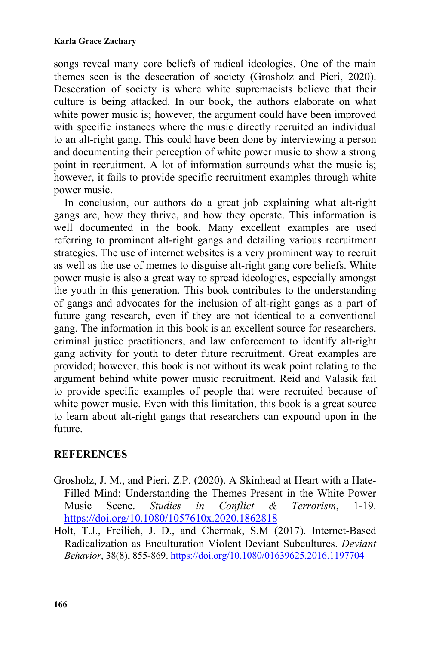## **Karla Grace Zachary**

songs reveal many core beliefs of radical ideologies. One of the main themes seen is the desecration of society (Grosholz and Pieri, 2020). Desecration of society is where white supremacists believe that their culture is being attacked. In our book, the authors elaborate on what white power music is; however, the argument could have been improved with specific instances where the music directly recruited an individual to an alt-right gang. This could have been done by interviewing a person and documenting their perception of white power music to show a strong point in recruitment. A lot of information surrounds what the music is; however, it fails to provide specific recruitment examples through white power music.

In conclusion, our authors do a great job explaining what alt-right gangs are, how they thrive, and how they operate. This information is well documented in the book. Many excellent examples are used referring to prominent alt-right gangs and detailing various recruitment strategies. The use of internet websites is a very prominent way to recruit as well as the use of memes to disguise alt-right gang core beliefs. White power music is also a great way to spread ideologies, especially amongst the youth in this generation. This book contributes to the understanding of gangs and advocates for the inclusion of alt-right gangs as a part of future gang research, even if they are not identical to a conventional gang. The information in this book is an excellent source for researchers, criminal justice practitioners, and law enforcement to identify alt-right gang activity for youth to deter future recruitment. Great examples are provided; however, this book is not without its weak point relating to the argument behind white power music recruitment. Reid and Valasik fail to provide specific examples of people that were recruited because of white power music. Even with this limitation, this book is a great source to learn about alt-right gangs that researchers can expound upon in the future.

## **REFERENCES**

- Grosholz, J. M., and Pieri, Z.P. (2020). A Skinhead at Heart with a Hate-Filled Mind: Understanding the Themes Present in the White Power Music Scene. *Studies in Conflict & Terrorism*, 1-19. https://doi.org/10.1080/1057610x.2020.1862818
- Holt, T.J., Freilich, J. D., and Chermak, S.M (2017). Internet-Based Radicalization as Enculturation Violent Deviant Subcultures. *Deviant Behavior*, 38(8), 855-869. https://doi.org/10.1080/01639625.2016.1197704